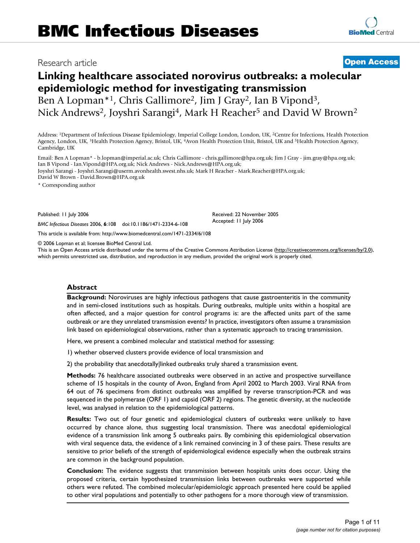## Research article **[Open Access](http://www.biomedcentral.com/info/about/charter/)**

# **[BioMed](http://www.biomedcentral.com/)** Central

## **Linking healthcare associated norovirus outbreaks: a molecular epidemiologic method for investigating transmission** Ben A Lopman\*1, Chris Gallimore2, Jim J Gray2, Ian B Vipond3, Nick Andrews<sup>2</sup>, Joyshri Sarangi<sup>4</sup>, Mark H Reacher<sup>5</sup> and David W Brown<sup>2</sup>

Address: 1Department of Infectious Disease Epidemiology, Imperial College London, London, UK, 2Centre for Infections, Health Protection Agency, London, UK, 3Health Protection Agency, Bristol, UK, 4Avon Health Protection Unit, Bristol, UK and 5Health Protection Agency, Cambridge, UK

Email: Ben A Lopman\* - b.lopman@imperial.ac.uk; Chris Gallimore - chris.gallimore@hpa.org.uk; Jim J Gray - jim.gray@hpa.org.uk; Ian B Vipond - Ian.Vipond@HPA.org.uk; Nick Andrews - Nick.Andrews@HPA.org.uk; Joyshri Sarangi - Joyshri.Sarangi@userm.avonhealth.swest.nhs.uk; Mark H Reacher - Mark.Reacher@HPA.org.uk; David W Brown - David.Brown@HPA.org.uk

\* Corresponding author

Published: 11 July 2006

*BMC Infectious Diseases* 2006, **6**:108 doi:10.1186/1471-2334-6-108

[This article is available from: http://www.biomedcentral.com/1471-2334/6/108](http://www.biomedcentral.com/1471-2334/6/108)

© 2006 Lopman et al; licensee BioMed Central Ltd.

This is an Open Access article distributed under the terms of the Creative Commons Attribution License [\(http://creativecommons.org/licenses/by/2.0\)](http://creativecommons.org/licenses/by/2.0), which permits unrestricted use, distribution, and reproduction in any medium, provided the original work is properly cited.

Received: 22 November 2005 Accepted: 11 July 2006

#### **Abstract**

**Background:** Noroviruses are highly infectious pathogens that cause gastroenteritis in the community and in semi-closed institutions such as hospitals. During outbreaks, multiple units within a hospital are often affected, and a major question for control programs is: are the affected units part of the same outbreak or are they unrelated transmission events? In practice, investigators often assume a transmission link based on epidemiological observations, rather than a systematic approach to tracing transmission.

Here, we present a combined molecular and statistical method for assessing:

1) whether observed clusters provide evidence of local transmission and

2) the probability that anecdotally|linked outbreaks truly shared a transmission event.

**Methods:** 76 healthcare associated outbreaks were observed in an active and prospective surveillance scheme of 15 hospitals in the county of Avon, England from April 2002 to March 2003. Viral RNA from 64 out of 76 specimens from distinct outbreaks was amplified by reverse transcription-PCR and was sequenced in the polymerase (ORF 1) and capsid (ORF 2) regions. The genetic diversity, at the nucleotide level, was analysed in relation to the epidemiological patterns.

**Results:** Two out of four genetic and epidemiological clusters of outbreaks were unlikely to have occurred by chance alone, thus suggesting local transmission. There was anecdotal epidemiological evidence of a transmission link among 5 outbreaks pairs. By combining this epidemiological observation with viral sequence data, the evidence of a link remained convincing in 3 of these pairs. These results are sensitive to prior beliefs of the strength of epidemiological evidence especially when the outbreak strains are common in the background population.

**Conclusion:** The evidence suggests that transmission between hospitals units does occur. Using the proposed criteria, certain hypothesized transmission links between outbreaks were supported while others were refuted. The combined molecular/epidemiologic approach presented here could be applied to other viral populations and potentially to other pathogens for a more thorough view of transmission.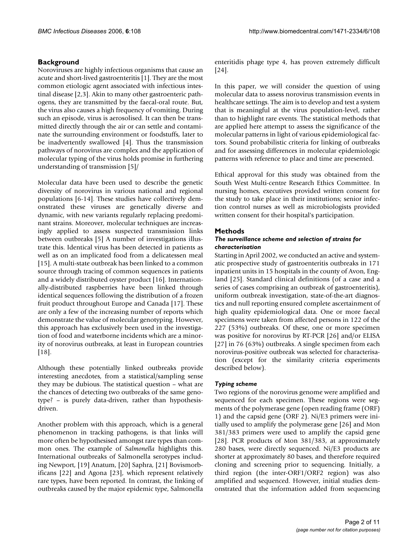### **Background**

Noroviruses are highly infectious organisms that cause an acute and short-lived gastroenteritis [1]. They are the most common etiologic agent associated with infectious intestinal disease [2,3]. Akin to many other gastroenteric pathogens, they are transmitted by the faecal-oral route. But, the virus also causes a high frequency of vomiting. During such an episode, virus is aerosolised. It can then be transmitted directly through the air or can settle and contaminate the surrounding environment or foodstuffs, later to be inadvertently swallowed [4]. Thus the transmission pathways of norovirus are complex and the application of molecular typing of the virus holds promise in furthering understanding of transmission [5]/

Molecular data have been used to describe the genetic diversity of norovirus in various national and regional populations [6-14]. These studies have collectively demonstrated these viruses are genetically diverse and dynamic, with new variants regularly replacing predominant strains. Moreover, molecular techniques are increasingly applied to assess suspected transmission links between outbreaks [5] A number of investigations illustrate this. Identical virus has been detected in patients as well as on an implicated food from a delicatessen meal [15]. A multi-state outbreak has been linked to a common source through tracing of common sequences in patients and a widely distributed oyster product [16]. Internationally-distributed raspberries have been linked through identical sequences following the distribution of a frozen fruit product throughout Europe and Canada [17]. These are only a few of the increasing number of reports which demonstrate the value of molecular genotyping. However, this approach has exclusively been used in the investigation of food and waterborne incidents which are a minority of norovirus outbreaks, at least in European countries [18].

Although these potentially linked outbreaks provide interesting anecdotes, from a statistical/sampling sense they may be dubious. The statistical question – what are the chances of detecting two outbreaks of the same genotype? – is purely data-driven, rather than hypothesisdriven.

Another problem with this approach, which is a general phenomenon in tracking pathogens, is that links will more often be hypothesised amongst rare types than common ones. The example of *Salmonella* highlights this. International outbreaks of Salmonella serotypes including Newport, [19] Anatum, [20] Saphra, [21] Bovismorbificans [22] and Agona [23], which represent relatively rare types, have been reported. In contrast, the linking of outbreaks caused by the major epidemic type, Salmonella enteritidis phage type 4, has proven extremely difficult [24].

In this paper, we will consider the question of using molecular data to assess norovirus transmission events in healthcare settings. The aim is to develop and test a system that is meaningful at the virus population-level, rather than to highlight rare events. The statistical methods that are applied here attempt to assess the significance of the molecular patterns in light of various epidemiological factors. Sound probabilistic criteria for linking of outbreaks and for assessing differences in molecular epidemiologic patterns with reference to place and time are presented.

Ethical approval for this study was obtained from the South West Multi-centre Research Ethics Committee. In nursing homes, executives provided written consent for the study to take place in their institutions; senior infection control nurses as well as microbiologists provided written consent for their hospital's participation.

#### **Methods**

#### *The surveillance scheme and selection of strains for characterisation*

Starting in April 2002, we conducted an active and systematic prospective study of gastroenteritis outbreaks in 171 inpatient units in 15 hospitals in the county of Avon, England [25]. Standard clinical definitions (of a case and a series of cases comprising an outbreak of gastroenteritis), uniform outbreak investigation, state-of-the-art diagnostics and null reporting ensured complete ascertainment of high quality epidemiological data. One or more faecal specimens were taken from affected persons in 122 of the 227 (53%) outbreaks. Of these, one or more specimen was positive for norovirus by RT-PCR [26] and/or ELISA [27] in 76 (63%) outbreaks. A single specimen from each norovirus-positive outbreak was selected for characterisation (except for the similarity criteria experiments described below).

#### *Typing scheme*

Two regions of the norovirus genome were amplified and sequenced for each specimen. These regions were segments of the polymerase gene (open reading frame (ORF) 1) and the capsid gene (ORF 2). Ni/E3 primers were initially used to amplify the polymerase gene [26] and Mon 381/383 primers were used to amplify the capsid gene [28]. PCR products of Mon 381/383, at approximately 280 bases, were directly sequenced. Ni/E3 products are shorter at approximately 80 bases, and therefore required cloning and screening prior to sequencing. Initially, a third region (the inter-ORF1/ORF2 region) was also amplified and sequenced. However, initial studies demonstrated that the information added from sequencing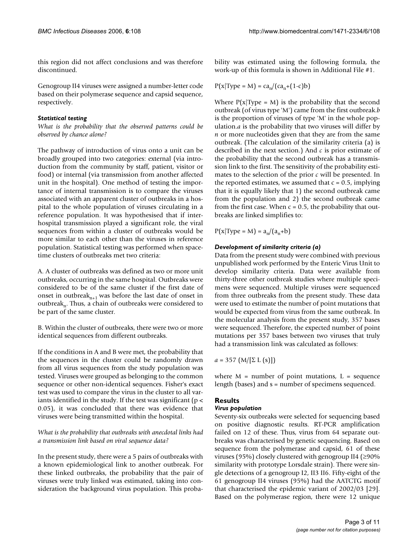this region did not affect conclusions and was therefore discontinued.

Genogroup II4 viruses were assigned a number-letter code based on their polymerase sequence and capsid sequence, respectively.

#### *Statistical testing*

*What is the probability that the observed patterns could be observed by chance alone?*

The pathway of introduction of virus onto a unit can be broadly grouped into two categories: external (via introduction from the community by staff, patient, visitor or food) or internal (via transmission from another affected unit in the hospital). One method of testing the importance of internal transmission is to compare the viruses associated with an apparent cluster of outbreaks in a hospital to the whole population of viruses circulating in a reference population. It was hypothesised that if interhospital transmission played a significant role, the viral sequences from within a cluster of outbreaks would be more similar to each other than the viruses in reference population. Statistical testing was performed when spacetime clusters of outbreaks met two criteria:

A. A cluster of outbreaks was defined as two or more unit outbreaks, occurring in the same hospital. Outbreaks were considered to be of the same cluster if the first date of onset in outbreak<sub>n+1</sub> was before the last date of onset in outbreak<sub>n</sub>. Thus, a chain of outbreaks were considered to be part of the same cluster.

B. Within the cluster of outbreaks, there were two or more identical sequences from different outbreaks.

If the conditions in A and B were met, the probability that the sequences in the cluster could be randomly drawn from all virus sequences from the study population was tested. Viruses were grouped as belonging to the common sequence or other non-identical sequences. Fisher's exact test was used to compare the virus in the cluster to all variants identified in the study. If the test was significant ( $p <$ 0.05), it was concluded that there was evidence that viruses were being transmitted within the hospital.

*What is the probability that outbreaks with anecdotal links had a transmission link based on viral sequence data?*

In the present study, there were a 5 pairs of outbreaks with a known epidemiological link to another outbreak. For these linked outbreaks, the probability that the pair of viruses were truly linked was estimated, taking into consideration the background virus population. This probability was estimated using the following formula, the work-up of this formula is shown in Additional File #1.

$$
P(x|Type = M) = ca_n/(ca_n+(1-c)b)
$$

Where  $P(x|Type = M)$  is the probability that the second outbreak (of virus type 'M') came from the first outbreak.*b* is the proportion of viruses of type 'M' in the whole population.*a* is the probability that two viruses will differ by *n* or more nucleotides given that they are from the same outbreak. (The calculation of the similarity criteria (a) is described in the next section.) And *c* is prior estimate of the probability that the second outbreak has a transmission link to the first. The sensitivity of the probability estimates to the selection of the prior *c* will be presented. In the reported estimates, we assumed that  $c = 0.5$ , implying that it is equally likely that 1) the second outbreak came from the population and 2) the second outbreak came from the first case. When  $c = 0.5$ , the probability that outbreaks are linked simplifies to:

 $P(x|Type = M) = a_n/(a_n+b)$ 

#### *Development of similarity criteria (a)*

Data from the present study were combined with previous unpublished work performed by the Enteric Virus Unit to develop similarity criteria. Data were available from thirty-three other outbreak studies where multiple specimens were sequenced. Multiple viruses were sequenced from three outbreaks from the present study. These data were used to estimate the number of point mutations that would be expected from virus from the same outbreak. In the molecular analysis from the present study, 357 bases were sequenced. Therefore, the expected number of point mutations per 357 bases between two viruses that truly had a transmission link was calculated as follows:

$$
a = 357 \, \left( \frac{\text{M}}{\Sigma \, \text{L} \, \text{(s)}} \right)
$$

where  $M =$  number of point mutations,  $L =$  sequence length (bases) and s = number of specimens sequenced.

#### **Results**

#### *Virus population*

Seventy-six outbreaks were selected for sequencing based on positive diagnostic results. RT-PCR amplification failed on 12 of these. Thus, virus from 64 separate outbreaks was characterised by genetic sequencing. Based on sequence from the polymerase and capsid, 61 of these viruses (95%) closely clustered with genogroup II4 (≥90% similarity with prototype Lorsdale strain). There were single detections of a genogroup I2, II3 II6. Fifty-eight of the 61 genogroup II4 viruses (95%) had the AATCTG motif that characterised the epidemic variant of 2002/03 [29]. Based on the polymerase region, there were 12 unique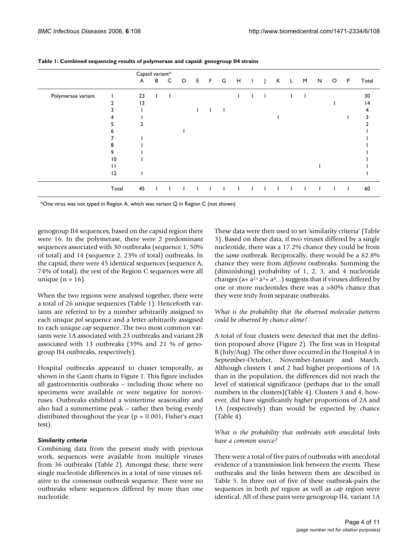|                    |                 | Capsid variant* |   |              |  |           |  |  |  |               |   |       |
|--------------------|-----------------|-----------------|---|--------------|--|-----------|--|--|--|---------------|---|-------|
|                    |                 | A               | B | $\mathsf{C}$ |  | D E F G H |  |  |  | I J K L M N O | P | Total |
| Polymerase variant |                 | 23              |   |              |  |           |  |  |  |               |   | 30    |
|                    |                 | 13              |   |              |  |           |  |  |  |               |   | 14    |
|                    |                 |                 |   |              |  |           |  |  |  |               |   |       |
|                    |                 |                 |   |              |  |           |  |  |  |               |   |       |
|                    |                 |                 |   |              |  |           |  |  |  |               |   |       |
|                    |                 |                 |   |              |  |           |  |  |  |               |   |       |
|                    |                 |                 |   |              |  |           |  |  |  |               |   |       |
|                    |                 |                 |   |              |  |           |  |  |  |               |   |       |
|                    |                 |                 |   |              |  |           |  |  |  |               |   |       |
|                    | $\overline{10}$ |                 |   |              |  |           |  |  |  |               |   |       |
|                    | Н               |                 |   |              |  |           |  |  |  |               |   |       |
|                    | 12              |                 |   |              |  |           |  |  |  |               |   |       |
|                    | Total           | 45              |   |              |  |           |  |  |  |               |   | 60    |

**Table 1: Combined sequencing results of polymerase and capsid: genogroup II4 strains**

\*One virus was not typed in Region A, which was variant Q in Region C (not shown)

genogroup II4 sequences; based on the capsid region there were 16. In the polymerase, there were 2 predominant sequences associated with 30 outbreaks (sequence 1, 50% of total) and 14 (sequence 2, 23% of total) outbreaks. In the capsid, there were 45 identical sequences (sequence A, 74% of total); the rest of the Region C sequences were all unique  $(n = 16)$ .

When the two regions were analysed together, there were a total of 26 unique sequences (Table 1). Henceforth variants are referred to by a number arbitrarily assigned to each unique *pol* sequence and a letter arbitrarily assigned to each unique *cap* sequence. The two most common variants were 1A associated with 23 outbreaks and variant 2B associated with 13 outbreaks (39% and 21 % of genogroup II4 outbreaks, respectively).

Hospital outbreaks appeared to cluster temporally, as shown in the Gantt charts in Figure 1. This figure includes all gastroenteritis outbreaks – including those where no specimens were available or were negative for noroviruses. Outbreaks exhibited a wintertime seasonality and also had a summertime peak – rather then being evenly distributed throughout the year ( $p = 0.001$ , Fisher's exact test).

#### *Similarity criteria*

Combining data from the present study with previous work, sequences were available from multiple viruses from 36 outbreaks (Table 2). Amongst these, there were single nucleotide differences in a total of nine viruses relative to the consensus outbreak sequence. There were no outbreaks where sequences differed by more than one nucleotide.

These data were then used to set 'similarity criteria' (Table 3). Based on these data, if two viruses differed by a single nucleotide, there was a 17.2% chance they could be from the *same* outbreak. Reciprocally, there would be a 82.8% chance they were from *different* outbreaks. Summing the (diminishing) probability of 1, 2, 3, and 4 nucleotide changes ( $a + a^{2+} a^{3} + a^{4} ...$ ) suggests that if viruses differed by one or more nucleotides there was a >80% chance that they were truly from separate outbreaks.

#### *What is the probability that the observed molecular patterns could be observed by chance alone?*

A total of four clusters were detected that met the definition proposed above (Figure 2). The first was in Hospital B (July/Aug). The other three occurred in the Hospital A in September-October, November-January and March. Although clusters 1 and 2 had higher proportions of 1A than in the population, the differences did not reach the level of statistical significance (perhaps due to the small numbers in the clusters)(Table 4). Clusters 3 and 4, however, did have significantly higher proportions of 2A and 1A (respectively) than would be expected by chance (Table 4).

#### *What is the probability that outbreaks with anecdotal links have a common source?*

There were a total of five pairs of outbreaks with anecdotal evidence of a transmission link between the events. These outbreaks and the links between them are described in Table 5. In three out of five of these outbreak-pairs the sequences in both *pol* region as well as *cap* region were identical. All of these pairs were genogroup II4, variant 1A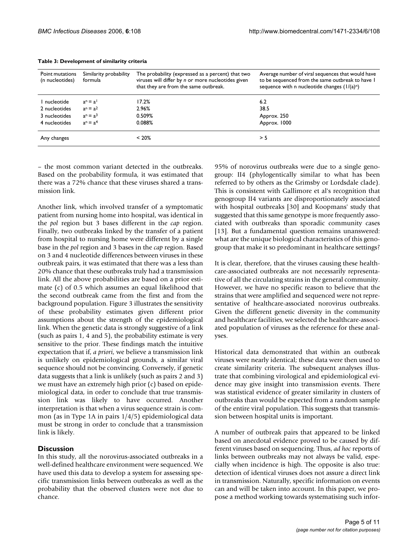| Point mutations<br>(n nucleotides) | Similarity probability<br>formula | The probability (expressed as a percent) that two<br>viruses will differ by n or more nucleotides given<br>that they are from the same outbreak. | Average number of viral sequences that would have<br>to be sequenced from the same outbreak to have I<br>sequence with n nucleotide changes $(1/(a)^n)$ |
|------------------------------------|-----------------------------------|--------------------------------------------------------------------------------------------------------------------------------------------------|---------------------------------------------------------------------------------------------------------------------------------------------------------|
| l nucleotide                       | $a^n = a^{\dagger}$               | 17.2%                                                                                                                                            | 6.2                                                                                                                                                     |
| 2 nucleotides                      | $a^n = a^2$                       | 2.96%                                                                                                                                            | 38.5                                                                                                                                                    |
| 3 nucleotides                      | $a^n = a^3$                       | 0.509%                                                                                                                                           | Approx. 250                                                                                                                                             |
| 4 nucleotides                      | $a^n = a^4$                       | 0.088%                                                                                                                                           | Approx. 1000                                                                                                                                            |
| Any changes                        |                                   | < 20%                                                                                                                                            | > 5                                                                                                                                                     |

#### **Table 3: Development of similarity criteria**

– the most common variant detected in the outbreaks. Based on the probability formula, it was estimated that there was a 72% chance that these viruses shared a transmission link.

Another link, which involved transfer of a symptomatic patient from nursing home into hospital, was identical in the *pol* region but 3 bases different in the *cap* region. Finally, two outbreaks linked by the transfer of a patient from hospital to nursing home were different by a single base in the *pol* region and 3 bases in the *cap* region. Based on 3 and 4 nucleotide differences between viruses in these outbreak pairs, it was estimated that there was a less than 20% chance that these outbreaks truly had a transmission link. All the above probabilities are based on a prior estimate (c) of 0.5 which assumes an equal likelihood that the second outbreak came from the first and from the background population. Figure 3 illustrates the sensitivity of these probability estimates given different prior assumptions about the strength of the epidemiological link. When the genetic data is strongly suggestive of a link (such as pairs 1, 4 and 5), the probability estimate is very sensitive to the prior. These findings match the intuitive expectation that if, *a priori*, we believe a transmission link is unlikely on epidemiological grounds, a similar viral sequence should not be convincing. Conversely, if genetic data suggests that a link is unlikely (such as pairs 2 and 3) we must have an extremely high prior (c) based on epidemiological data, in order to conclude that true transmission link was likely to have occurred. Another interpretation is that when a virus sequence strain is common (as in Type 1A in pairs 1/4/5) epidemiological data must be strong in order to conclude that a transmission link is likely.

#### **Discussion**

In this study, all the norovirus-associated outbreaks in a well-defined healthcare environment were sequenced. We have used this data to develop a system for assessing specific transmission links between outbreaks as well as the probability that the observed clusters were not due to chance.

95% of norovirus outbreaks were due to a single genogroup: II4 (phylogentically similar to what has been referred to by others as the Grimsby or Lordsdale clade). This is consistent with Gallimore et al's recognition that genogroup II4 variants are disproportionately associated with hospital outbreaks [30] and Koopmans' study that suggested that this same genotype is more frequently associated with outbreaks than sporadic community cases [13]. But a fundamental question remains unanswered: what are the unique biological characteristics of this genogroup that make it so predominant in healthcare settings?

It is clear, therefore, that the viruses causing these healthcare-associated outbreaks are not necessarily representative of all the circulating strains in the general community. However, we have no specific reason to believe that the strains that were amplified and sequenced were not representative of healthcare-associated norovirus outbreaks. Given the different genetic diversity in the community and healthcare facilities, we selected the healthcare-associated population of viruses as the reference for these analyses.

Historical data demonstrated that within an outbreak viruses were nearly identical; these data were then used to create similarity criteria. The subsequent analyses illustrate that combining virological and epidemiological evidence may give insight into transmission events. There was statistical evidence of greater similarity in clusters of outbreaks than would be expected from a random sample of the entire viral population. This suggests that transmission between hospital units is important.

A number of outbreak pairs that appeared to be linked based on anecdotal evidence proved to be caused by different viruses based on sequencing. Thus, *ad hoc* reports of links between outbreaks may not always be valid, especially when incidence is high. The opposite is also true: detection of identical viruses does not assure a direct link in transmission. Naturally, specific information on events can and will be taken into account. In this paper, we propose a method working towards systematising such infor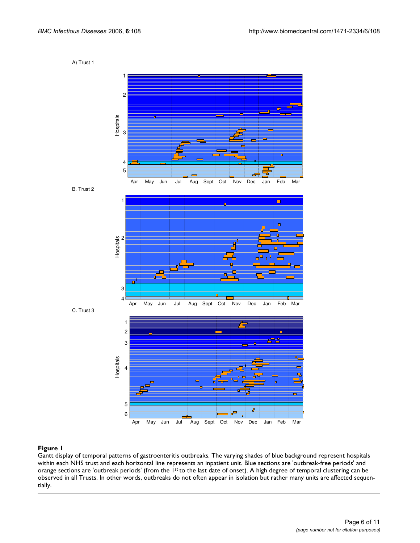A) Trust 1



#### Figure 1

Gantt display of temporal patterns of gastroenteritis outbreaks. The varying shades of blue background represent hospitals within each NHS trust and each horizontal line represents an inpatient unit. Blue sections are 'outbreak-free periods' and orange sections are 'outbreak periods' (from the 1st to the last date of onset). A high degree of temporal clustering can be observed in all Trusts. In other words, outbreaks do not often appear in isolation but rather many units are affected sequentially.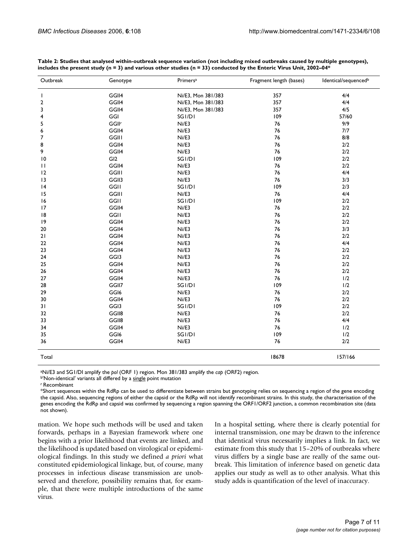| Outbreak         | Genotype        | Primers <sup>a</sup> | Fragment length (bases) | Identical/sequenced <sup>b</sup> |
|------------------|-----------------|----------------------|-------------------------|----------------------------------|
| $\mathbf{I}$     | GGII4           | Ni/E3, Mon 381/383   | 357                     | 4/4                              |
| $\boldsymbol{2}$ | GGII4           | Ni/E3, Mon 381/383   | 357                     | 4/4                              |
| 3                | GGII4           | Ni/E3, Mon 381/383   | 357                     | 4/5                              |
| 4                | GGI             | SGI/DI               | 109                     | 57/60                            |
| 5                | GGIIr           | Ni/E3                | 76                      | 9/9                              |
| 6                | GGII4           | Ni/E3                | 76                      | 7/7                              |
| 7                | GGIII           | Ni/E3                | 76                      | 8/8                              |
| 8                | GGII4           | Ni/E3                | 76                      | 2/2                              |
| 9                | GGII4           | Ni/E3                | 76                      | $2/2$                            |
| $\overline{10}$  | GI <sub>2</sub> | SGI/DI               | 109                     | 2/2                              |
| $\mathbf{H}$     | GGII4           | Ni/E3                | 76                      | $2/2$                            |
| 12               | <b>GGIII</b>    | Ni/E3                | 76                      | 4/4                              |
| 13               | GGII3           | Ni/E3                | 76                      | 3/3                              |
| 4                | GGII            | SGI/DI               | 109                     | 2/3                              |
| 15               | <b>GGII1</b>    | Ni/E3                | 76                      | 4/4                              |
| 16               | GGII            | SGI/DI               | 109                     | 2/2                              |
| 17               | GGII4           | Ni/E3                | 76                      | $2/2$                            |
| 8                | GGII            | Ni/E3                | 76                      | 2/2                              |
| 9                | GGII4           | Ni/E3                | 76                      | $2/2$                            |
| 20               | GGII4           | Ni/E3                | 76                      | 3/3                              |
| 21               | GGII4           | Ni/E3                | 76                      | $2/2$                            |
| 22               | GGII4           | Ni/E3                | 76                      | 4/4                              |
| 23               | GGII4           | Ni/E3                | 76                      | 2/2                              |
| 24               | GGI3            | Ni/E3                | 76                      | 2/2                              |
| 25               | GGII4           | Ni/E3                | 76                      | $2/2$                            |
| 26               | GGII4           | Ni/E3                | 76                      | 2/2                              |
| 27               | GGII4           | Ni/E3                | 76                      | 1/2                              |
| 28               | GGII7           | SGI/DI               | 109                     | 1/2                              |
| 29               | GGI6            | Ni/E3                | 76                      | $2/2$                            |
| 30               | GGII4           | Ni/E3                | 76                      | 2/2                              |
| 31               | GGI3            | SGI/DI               | 109                     | $2/2$                            |
| 32               | GGII8           | Ni/E3                | 76                      | 2/2                              |
| 33               | GGII8           | Ni/E3                | 76                      | 4/4                              |
| 34               | GGII4           | Ni/E3                | 76                      | 1/2                              |
| 35               | GGI6            | SGI/DI               | 109                     | 1/2                              |
| 36               | GGII4           | Ni/E3                | 76                      | 2/2                              |
| Total            |                 |                      | 18678                   | 157/166                          |

**Table 2: Studies that analysed within-outbreak sequence variation (not including mixed outbreaks caused by multiple genotypes), includes the present study (n = 3) and various other studies (n = 33) conducted by the Enteric Virus Unit, 2002–04\***

aNi/E3 and SG1/DI amplify the *pol* (ORF 1) region. Mon 381/383 amplify the *cap* (ORF2) region.

b'Non-identical' variants all differed by a single point mutation

r Recombinant

\*Short sequences within the RdRp can be used to differentiate between strains but genotyping relies on sequencing a region of the gene encoding the capsid. Also, sequencing regions of either the capsid or the RdRp will not identify recombinant strains. In this study, the characterisation of the genes encoding the RdRp and capsid was confirmed by sequencing a region spanning the ORF1/ORF2 junction, a common recombination site (data not shown).

mation. We hope such methods will be used and taken forwards, perhaps in a Bayesian framework where one begins with a prior likelihood that events are linked, and the likelihood is updated based on virological or epidemiological findings. In this study we defined *a priori* what constituted epidemiological linkage, but, of course, many processes in infectious disease transmission are unobserved and therefore, possibility remains that, for example, that there were multiple introductions of the same virus.

In a hospital setting, where there is clearly potential for internal transmission, one may be drawn to the inference that identical virus necessarily implies a link. In fact, we estimate from this study that 15–20% of outbreaks where virus differs by a single base are really of the same outbreak. This limitation of inference based on genetic data applies our study as well as to other analysis. What this study adds is quantification of the level of inaccuracy.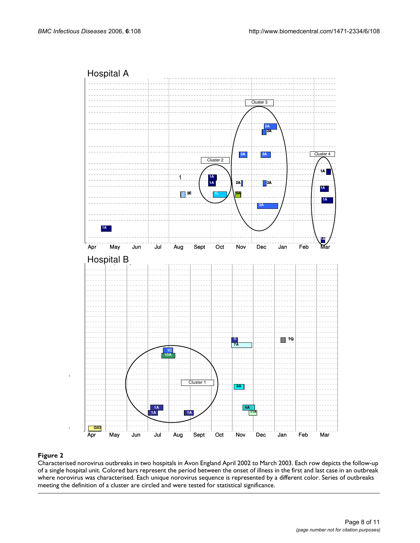

Characterised norovirus outbreaks in two hospitals in Avon England April 2002 to March 2003. Each row depicts the follow-up of a single hospital unit. Colored bars represent the period between the onset of illness in the first and last case in an outbreak where norovirus was characterised. Each unique norovirus sequence is represented by a different color. Series of outbreaks meeting the definition of a cluster are circled and were tested for statistical significance.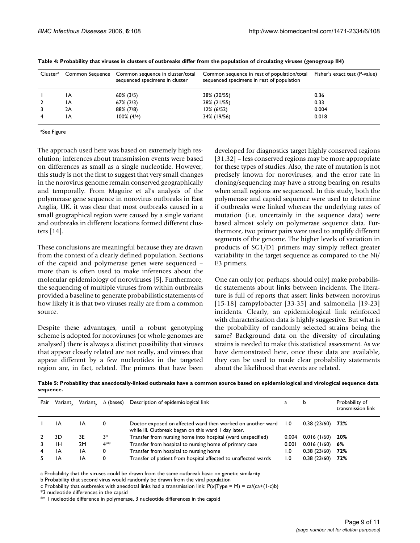| Cluster <sup>a</sup> | Common Sequence | Common sequence in cluster/total<br>sequenced specimens in cluster | Common sequence in rest of population/total<br>sequenced specimens in rest of population | Fisher's exact test (P-value) |
|----------------------|-----------------|--------------------------------------------------------------------|------------------------------------------------------------------------------------------|-------------------------------|
|                      | ΙA              | $60\%$ (3/5)                                                       | 38% (20/55)                                                                              | 0.36                          |
|                      | ΙA              | $67\%$ (2/3)                                                       | 38% (21/55)                                                                              | 0.33                          |
|                      | 2Α              | 88% (7/8)                                                          | $12\% (6/52)$                                                                            | 0.004                         |
|                      | ΙA              | $100\%$ (4/4)                                                      | 34% (19/56)                                                                              | 0.018                         |
|                      |                 |                                                                    |                                                                                          |                               |

**Table 4: Probability that viruses in clusters of outbreaks differ from the population of circulating viruses (genogroup II4)**

aSee Figure

The approach used here was based on extremely high resolution; inferences about transmission events were based on differences as small as a single nucleotide. However, this study is not the first to suggest that very small changes in the norovirus genome remain conserved geographically and temporally. From Maguire et al's analysis of the polymerase gene sequence in norovirus outbreaks in East Anglia, UK, it was clear that most outbreaks caused in a small geographical region were caused by a single variant and outbreaks in different locations formed different clusters [14].

These conclusions are meaningful because they are drawn from the context of a clearly defined population. Sections of the capsid and polymerase genes were sequenced – more than is often used to make inferences about the molecular epidemiology of noroviruses [5]. Furthermore, the sequencing of multiple viruses from within outbreaks provided a baseline to generate probabilistic statements of how likely it is that two viruses really are from a common source.

Despite these advantages, until a robust genotyping scheme is adopted for noroviruses (or whole genomes are analysed) there is always a distinct possibility that viruses that appear closely related are not really, and viruses that appear different by a few nucleotides in the targeted region are, in fact, related. The primers that have been developed for diagnostics target highly conserved regions [31,32] – less conserved regions may be more appropriate for these types of studies. Also, the rate of mutation is not precisely known for noroviruses, and the error rate in cloning/sequencing may have a strong bearing on results when small regions are sequenced. In this study, both the polymerase and capsid sequence were used to determine if outbreaks were linked whereas the underlying rates of mutation (i.e. uncertainly in the sequence data) were based almost solely on polymerase sequence data. Furthermore, two primer pairs were used to amplify different segments of the genome. The higher levels of variation in products of SG1/D1 primers may simply reflect greater variability in the target sequence as compared to the Ni/ E3 primers.

One can only (or, perhaps, should only) make probabilistic statements about links between incidents. The literature is full of reports that assert links between norovirus [15-18] campylobacter [33-35] and salmonella [19-23] incidents. Clearly, an epidemiological link reinforced with characterisation data is highly suggestive. But what is the probability of randomly selected strains being the same? Background data on the diversity of circulating strains is needed to make this statistical assessment. As we have demonstrated here, once these data are available, they can be used to made clear probability statements about the likelihood that events are related.

**Table 5: Probability that anecdotally-linked outbreaks have a common source based on epidemiological and virological sequence data sequence.**

| Pair |    |    | Variant, Variant, $\Delta$ (bases) | Description of epidemiological link                                                                                | a     | b           | Probability of<br>transmission link |
|------|----|----|------------------------------------|--------------------------------------------------------------------------------------------------------------------|-------|-------------|-------------------------------------|
|      | ΙA | ΙA | 0                                  | Doctor exposed on affected ward then worked on another ward<br>while ill. Outbreak began on this ward I day later. |       | 0.38(23/60) | - 72%                               |
|      | 3D | 3Е | 3*                                 | Transfer from nursing home into hospital (ward unspecified)                                                        | 0.004 | 0.016(1/60) | - 20%                               |
|      | ١н | 2M | 4**                                | Transfer from hospital to nursing home of primary case                                                             | 0.001 | 0.016(1/60) | 6%                                  |
|      | ١A | ΙA | 0                                  | Transfer from hospital to nursing home                                                                             | 1.0   | 0.38(23/60) | 72%                                 |
|      | ١A | ΙA | 0                                  | Transfer of patient from hospital affected to unaffected wards                                                     | 1.0   | 0.38(23/60) | 72%                                 |

a Probability that the viruses could be drawn from the same outbreak basic on genetic similarity

b Probability that second virus would randomly be drawn from the viral population

c Probability that outbreaks with anecdotal links had a transmission link:  $P(x|Type = M) = ca/(ca+(1-c)b)$ 

\*3 nucleotide differences in the capsid

\*\* I nucleotide difference in polymerase, 3 nucleotide differences in the capsid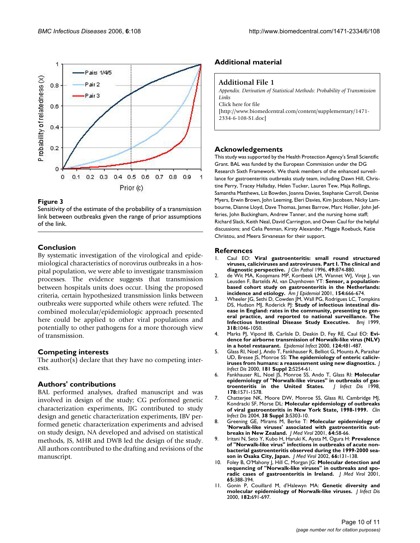

#### Figure 3

Sensitivity of the estimate of the probability of a transmission link between outbreaks given the range of prior assumptions of the link.

#### **Conclusion**

By systematic investigation of the virological and epidemiological characteristics of norovirus outbreaks in a hospital population, we were able to investigate transmission processes. The evidence suggests that transmission between hospitals units does occur. Using the proposed criteria, certain hypothesized transmission links between outbreaks were supported while others were refuted. The combined molecular/epidemiologic approach presented here could be applied to other viral populations and potentially to other pathogens for a more thorough view of transmission.

#### **Competing interests**

The author(s) declare that they have no competing interests.

#### **Authors' contributions**

BAL performed analyses, drafted manuscript and was involved in design of the study; CG performed genetic characterization experiments, JJG contributed to study design and genetic characterization experiments, IBV performed genetic characterization experiments and advised on study design, NA developed and advised on statistical methods, JS, MHR and DWB led the design of the study. All authors contributed to the drafting and revisions of the manuscript.

#### **Additional material**

#### **Additional File 1**

*Appendix. Derivation of Statistical Methods: Probability of Transmission Links*

Click here for file

[\[http://www.biomedcentral.com/content/supplementary/1471-](http://www.biomedcentral.com/content/supplementary/1471-2334-6-108-S1.doc) 2334-6-108-S1.doc]

#### **Acknowledgements**

This study was supported by the Health Protection Agency's Small Scientific Grant. BAL was funded by the European Commission under the DG Research Sixth Framework. We thank members of the enhanced surveillance for gastroenteritis outbreaks study team, including Dawn Hill, Christine Perry, Tracey Halladay, Helen Tucker, Lauren Tew, Maja Rollings, Samantha Matthews, Liz Bowden, Joanna Davies, Stephanie Carroll, Denise Myers, Erwin Brown, John Leeming, Eleri Davies, Kim Jacobsen, Nicky Lambourne, Dianne Lloyd, Dave Thomas, James Barrow, Marc Hollier, John Jefferies, John Buckingham, Andrew Tanner, and the nursing home staff; Richard Slack, Keith Neal, David Carrington, and Owen Caul for the helpful discussions; and Celia Penman, Kirsty Alexander, Maggie Roebuck, Katie Christou, and Meera Sirvanesan for their support.

#### **References**

- 1. Caul EO: **[Viral gastroenteritis: small round structured](http://www.ncbi.nlm.nih.gov/entrez/query.fcgi?cmd=Retrieve&db=PubMed&dopt=Abstract&list_uids=8944604) [viruses, caliciviruses and astroviruses. Part I. The clinical and](http://www.ncbi.nlm.nih.gov/entrez/query.fcgi?cmd=Retrieve&db=PubMed&dopt=Abstract&list_uids=8944604) [diagnostic perspective.](http://www.ncbi.nlm.nih.gov/entrez/query.fcgi?cmd=Retrieve&db=PubMed&dopt=Abstract&list_uids=8944604)** *J Clin Pathol* 1996, **49:**874-880.
- 2. de Wit MA, Koopmans MP, Kortbeek LM, Wannet WJ, Vinje J, van Leusden F, Bartelds AI, van Duynhoven YT: **[Sensor, a population](http://www.ncbi.nlm.nih.gov/entrez/query.fcgi?cmd=Retrieve&db=PubMed&dopt=Abstract&list_uids=11581101)[based cohort study on gastroenteritis in the Netherlands:](http://www.ncbi.nlm.nih.gov/entrez/query.fcgi?cmd=Retrieve&db=PubMed&dopt=Abstract&list_uids=11581101) [incidence and etiology.](http://www.ncbi.nlm.nih.gov/entrez/query.fcgi?cmd=Retrieve&db=PubMed&dopt=Abstract&list_uids=11581101)** *Am J Epidemiol* 2001, **154:**666-674.
- 3. Wheeler JG, Sethi D, Cowden JM, Wall PG, Rodrigues LC, Tompkins DS, Hudson MJ, Roderick PJ: [Study of infectious intestinal dis](http://www.ncbi.nlm.nih.gov/entrez/query.fcgi?cmd=Retrieve&db=PubMed&dopt=Abstract&list_uids=10205103)**ease in England: rates in the community, presenting to gen[eral practice, and reported to national surveillance. The](http://www.ncbi.nlm.nih.gov/entrez/query.fcgi?cmd=Retrieve&db=PubMed&dopt=Abstract&list_uids=10205103) [Infectious Intestinal Disease Study Executive.](http://www.ncbi.nlm.nih.gov/entrez/query.fcgi?cmd=Retrieve&db=PubMed&dopt=Abstract&list_uids=10205103)** *Bmj* 1999, **318:**1046-1050.
- 4. Marks PJ, Vipond IB, Carlisle D, Deakin D, Fey RE, Caul EO: **[Evi](http://www.ncbi.nlm.nih.gov/entrez/query.fcgi?cmd=Retrieve&db=PubMed&dopt=Abstract&list_uids=10982072)[dence for airborne transmission of Norwalk-like virus \(NLV\)](http://www.ncbi.nlm.nih.gov/entrez/query.fcgi?cmd=Retrieve&db=PubMed&dopt=Abstract&list_uids=10982072) [in a hotel restaurant.](http://www.ncbi.nlm.nih.gov/entrez/query.fcgi?cmd=Retrieve&db=PubMed&dopt=Abstract&list_uids=10982072)** *Epidemiol Infect* 2000, **124:**481-487.
- 5. Glass RI, Noel J, Ando T, Fankhauser R, Belliot G, Mounts A, Parashar UD, Bresee JS, Monroe SS: **[The epidemiology of enteric caliciv](http://www.ncbi.nlm.nih.gov/entrez/query.fcgi?cmd=Retrieve&db=PubMed&dopt=Abstract&list_uids=10804134)[iruses from humans: a reassessment using new diagnostics.](http://www.ncbi.nlm.nih.gov/entrez/query.fcgi?cmd=Retrieve&db=PubMed&dopt=Abstract&list_uids=10804134)** *J Infect Dis* 2000, **181 Suppl 2:**S254-61.
- 6. Fankhauser RL, Noel JS, Monroe SS, Ando T, Glass RI: **[Molecular](http://www.ncbi.nlm.nih.gov/entrez/query.fcgi?cmd=Retrieve&db=PubMed&dopt=Abstract&list_uids=9815206) [epidemiology of "Norwalk-like viruses" in outbreaks of gas](http://www.ncbi.nlm.nih.gov/entrez/query.fcgi?cmd=Retrieve&db=PubMed&dopt=Abstract&list_uids=9815206)[troenteritis in the United States.](http://www.ncbi.nlm.nih.gov/entrez/query.fcgi?cmd=Retrieve&db=PubMed&dopt=Abstract&list_uids=9815206)** *J Infect Dis* 1998, **178:**1571-1578.
- 7. Chatterjee NK, Moore DW, Monroe SS, Glass RI, Cambridge MJ, Kondracki SF, Morse DL: **[Molecular epidemiology of outbreaks](http://www.ncbi.nlm.nih.gov/entrez/query.fcgi?cmd=Retrieve&db=PubMed&dopt=Abstract&list_uids=15095203) [of viral gastroenteritis in New York State, 1998-1999.](http://www.ncbi.nlm.nih.gov/entrez/query.fcgi?cmd=Retrieve&db=PubMed&dopt=Abstract&list_uids=15095203)** *Clin Infect Dis* 2004, **38 Suppl 3:**S303-10.
- 8. Greening GE, Mirams M, Berke T: **[Molecular epidemiology of](http://www.ncbi.nlm.nih.gov/entrez/query.fcgi?cmd=Retrieve&db=PubMed&dopt=Abstract&list_uids=11285570) ['Norwalk-like viruses' associated with gastroenteritis out](http://www.ncbi.nlm.nih.gov/entrez/query.fcgi?cmd=Retrieve&db=PubMed&dopt=Abstract&list_uids=11285570)[breaks in New Zealand.](http://www.ncbi.nlm.nih.gov/entrez/query.fcgi?cmd=Retrieve&db=PubMed&dopt=Abstract&list_uids=11285570)** *J Med Virol* 2001, **64:**58-66.
- 9. Iritani N, Seto Y, Kubo H, Haruki K, Ayata M, Ogura H: **[Prevalence](http://www.ncbi.nlm.nih.gov/entrez/query.fcgi?cmd=Retrieve&db=PubMed&dopt=Abstract&list_uids=11748669) of "Norwalk-like virus" infections in outbreaks of acute non[bacterial gastroenteritis observed during the 1999-2000 sea](http://www.ncbi.nlm.nih.gov/entrez/query.fcgi?cmd=Retrieve&db=PubMed&dopt=Abstract&list_uids=11748669)[son in Osaka City, Japan.](http://www.ncbi.nlm.nih.gov/entrez/query.fcgi?cmd=Retrieve&db=PubMed&dopt=Abstract&list_uids=11748669)** *J Med Virol* 2002, **66:**131-138.
- 10. Foley B, O'Mahony J, Hill C, Morgan JG: **[Molecular detection and](http://www.ncbi.nlm.nih.gov/entrez/query.fcgi?cmd=Retrieve&db=PubMed&dopt=Abstract&list_uids=11536249) [sequencing of "Norwalk-like viruses" in outbreaks and spo](http://www.ncbi.nlm.nih.gov/entrez/query.fcgi?cmd=Retrieve&db=PubMed&dopt=Abstract&list_uids=11536249)[radic cases of gastroenteritis in Ireland.](http://www.ncbi.nlm.nih.gov/entrez/query.fcgi?cmd=Retrieve&db=PubMed&dopt=Abstract&list_uids=11536249)** *J Med Virol* 2001, **65:**388-394.
- 11. Gonin P, Couillard M, d'Halewyn MA: **[Genetic diversity and](http://www.ncbi.nlm.nih.gov/entrez/query.fcgi?cmd=Retrieve&db=PubMed&dopt=Abstract&list_uids=10950761) [molecular epidemiology of Norwalk-like viruses.](http://www.ncbi.nlm.nih.gov/entrez/query.fcgi?cmd=Retrieve&db=PubMed&dopt=Abstract&list_uids=10950761)** *J Infect Dis* 2000, **182:**691-697.